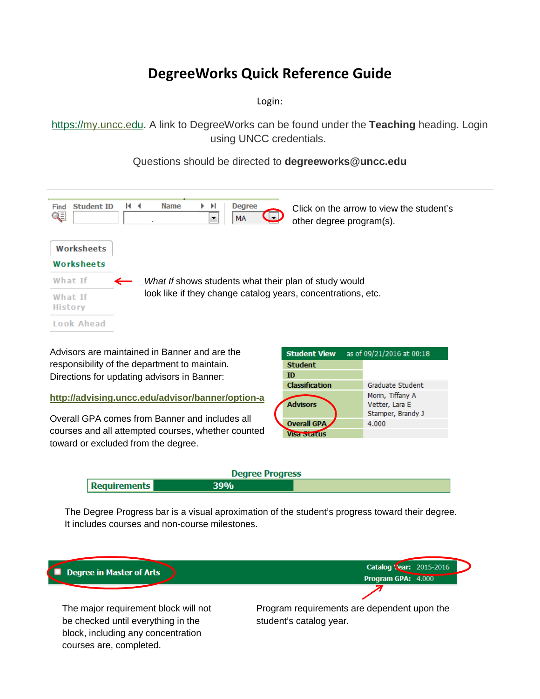# **DegreeWorks Quick Reference Guide**

Login:

[https://my.uncc.edu.](https://my.uncc.edu/) A link to DegreeWorks can be found under the **Teaching** heading. Login using UNCC credentials.

Questions should be directed to **degreeworks@uncc.edu**



 toward or excluded from the degree. Overall GPA comes from Banner and includes all courses and all attempted courses, whether counted

|                       | ---------                                               |
|-----------------------|---------------------------------------------------------|
| <b>Student</b>        |                                                         |
| ID                    |                                                         |
| <b>Classification</b> | Graduate Student                                        |
| <b>Advisors</b>       | Morin, Tiffany A<br>Vetter, Lara E<br>Stamper, Brandy J |
| <b>Overall GPA</b>    | 4.000                                                   |
|                       |                                                         |

| <b>Degree Progress</b> |     |  |  |  |
|------------------------|-----|--|--|--|
| Requirements           | 39% |  |  |  |

The Degree Progress bar is a visual aproximation of the student's progress toward their degree. It includes courses and non-course milestones.